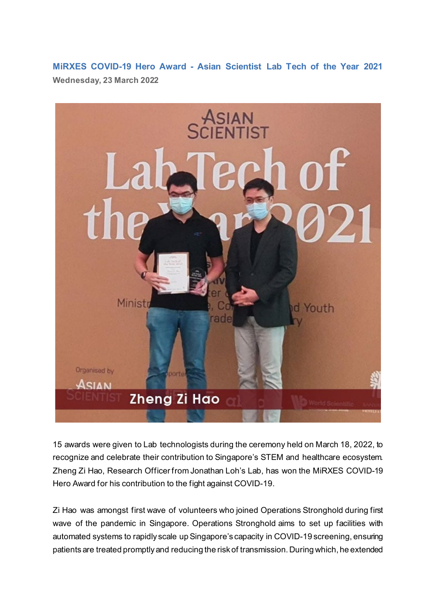**MiRXES COVID-19 Hero Award - Asian Scientist Lab Tech of the Year 2021 Wednesday, 23 March 2022**



15 awards were given to Lab technologists during the ceremony held on March 18, 2022, to recognize and celebrate their contribution to Singapore's STEM and healthcare ecosystem. Zheng Zi Hao, Research Officer from Jonathan Loh's Lab, has won the MiRXES COVID-19 Hero Award for his contribution to the fight against COVID-19.

Zi Hao was amongst first wave of volunteers who joined Operations Stronghold during first wave of the pandemic in Singapore. Operations Stronghold aims to set up facilities with automated systems to rapidly scale up Singapore's capacity in COVID-19 screening, ensuring patients are treated promptly and reducing the risk of transmission. During which, he extended